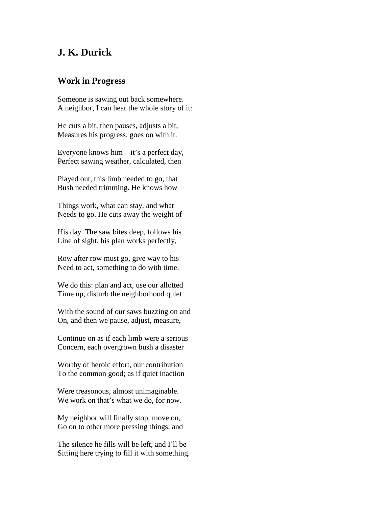## **J. K. Durick**

## **Work in Progress**

Someone is sawing out back somewhere. A neighbor, I can hear the whole story of it:

He cuts a bit, then pauses, adjusts a bit, Measures his progress, goes on with it.

Everyone knows him – it's a perfect day, Perfect sawing weather, calculated, then

Played out, this limb needed to go, that Bush needed trimming. He knows how

Things work, what can stay, and what Needs to go. He cuts away the weight of

His day. The saw bites deep, follows his Line of sight, his plan works perfectly,

Row after row must go, give way to his Need to act, something to do with time.

We do this: plan and act, use our allotted Time up, disturb the neighborhood quiet

With the sound of our saws buzzing on and On, and then we pause, adjust, measure,

Continue on as if each limb were a serious Concern, each overgrown bush a disaster

Worthy of heroic effort, our contribution To the common good; as if quiet inaction

Were treasonous, almost unimaginable. We work on that's what we do, for now.

My neighbor will finally stop, move on, Go on to other more pressing things, and

The silence he fills will be left, and I'll be Sitting here trying to fill it with something.